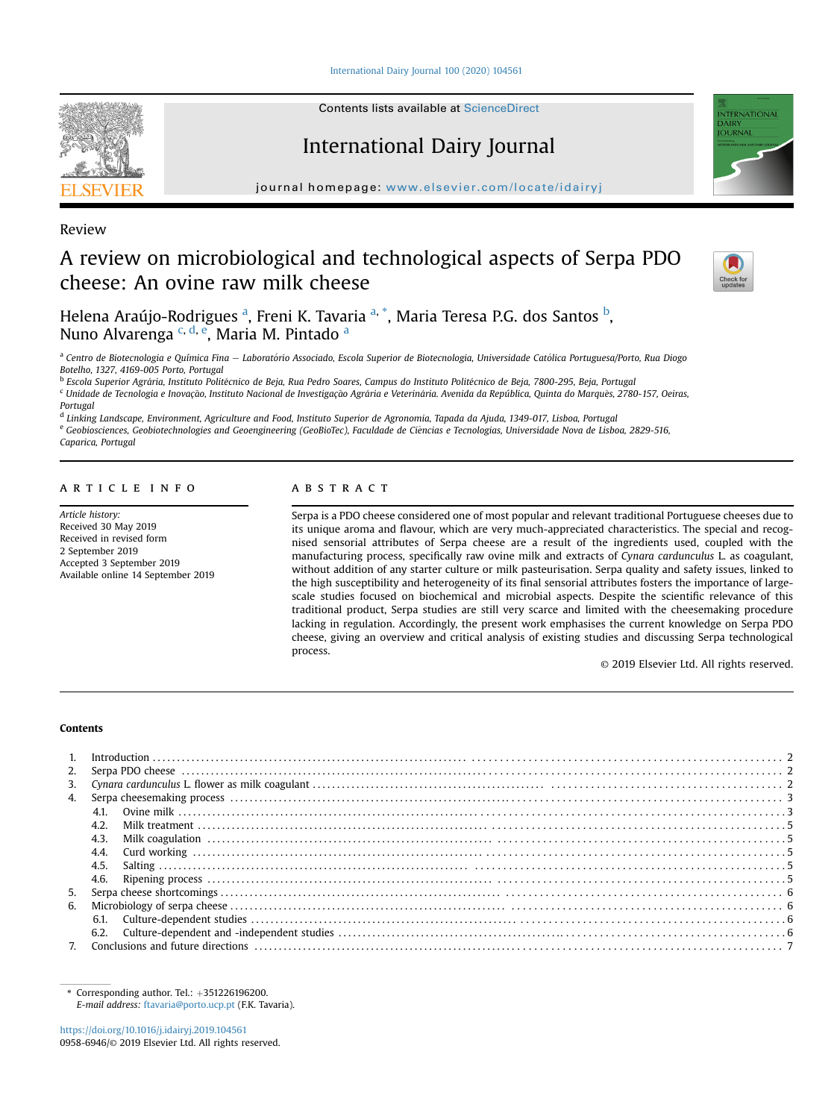[International Dairy Journal 100 \(2020\) 104561](https://doi.org/10.1016/j.idairyj.2019.104561)



Contents lists available at [ScienceDirect](www.sciencedirect.com/science/journal/09586946)

# International Dairy Journal

journal homepage: [www.elsevier.com/locate/idairyj](http://www.elsevier.com/locate/idairyj)

Review

# A review on microbiological and technological aspects of Serpa PDO cheese: An ovine raw milk cheese



**TERNATIONA OLIRNA** 

Helena Araújo-Rodrigues <sup>a</sup>, Freni K. Tavaria <sup>a, \*</sup>, Maria Teresa P.G. dos Santos <sup>b</sup>, Nuno Alvarenga <sup>c, d, e</sup>, Maria M. Pintado <sup>a</sup>

<sup>a</sup> Centro de Biotecnologia e Química Fina - Laboratório Associado, Escola Superior de Biotecnologia, Universidade Católica Portuguesa/Porto, Rua Diogo Botelho, 1327, 4169-005 Porto, Portugal

<sup>b</sup> Escola Superior Agrária, Instituto Politécnico de Beja, Rua Pedro Soares, Campus do Instituto Politécnico de Beja, 7800-295, Beja, Portugal

<sup>c</sup> Unidade de Tecnologia e Inovação, Instituto Nacional de Investigação Agrária e Veterinária. Avenida da República, Quinta do Marquês, 2780-157, Oeiras, Portugal

<sup>d</sup> Linking Landscape, Environment, Agriculture and Food, Instituto Superior de Agronomia, Tapada da Ajuda, 1349-017, Lisboa, Portugal

e Geobiosciences, Geobiotechnologies and Geoengineering (GeoBioTec), Faculdade de Ciências e Tecnologias, Universidade Nova de Lisboa, 2829-516,

Caparica, Portugal

# article info

Article history: Received 30 May 2019 Received in revised form 2 September 2019 Accepted 3 September 2019 Available online 14 September 2019

# **ABSTRACT**

Serpa is a PDO cheese considered one of most popular and relevant traditional Portuguese cheeses due to its unique aroma and flavour, which are very much-appreciated characteristics. The special and recognised sensorial attributes of Serpa cheese are a result of the ingredients used, coupled with the manufacturing process, specifically raw ovine milk and extracts of Cynara cardunculus L. as coagulant, without addition of any starter culture or milk pasteurisation. Serpa quality and safety issues, linked to the high susceptibility and heterogeneity of its final sensorial attributes fosters the importance of largescale studies focused on biochemical and microbial aspects. Despite the scientific relevance of this traditional product, Serpa studies are still very scarce and limited with the cheesemaking procedure lacking in regulation. Accordingly, the present work emphasises the current knowledge on Serpa PDO cheese, giving an overview and critical analysis of existing studies and discussing Serpa technological process.

© 2019 Elsevier Ltd. All rights reserved.

# Contents

| 2.               |      |  |  |  |
|------------------|------|--|--|--|
| 3 <sub>1</sub>   |      |  |  |  |
| $\overline{4}$ . |      |  |  |  |
|                  | 4.1. |  |  |  |
|                  | 4.2. |  |  |  |
|                  | 4.3. |  |  |  |
|                  | 4.4. |  |  |  |
|                  |      |  |  |  |
|                  |      |  |  |  |
| 5.               |      |  |  |  |
| 6.               |      |  |  |  |
|                  |      |  |  |  |
|                  |      |  |  |  |
|                  |      |  |  |  |

Corresponding author. Tel.:  $+351226196200$ . E-mail address: [ftavaria@porto.ucp.pt](mailto:ftavaria@porto.ucp.pt) (F.K. Tavaria).

<https://doi.org/10.1016/j.idairyj.2019.104561> 0958-6946/© 2019 Elsevier Ltd. All rights reserved.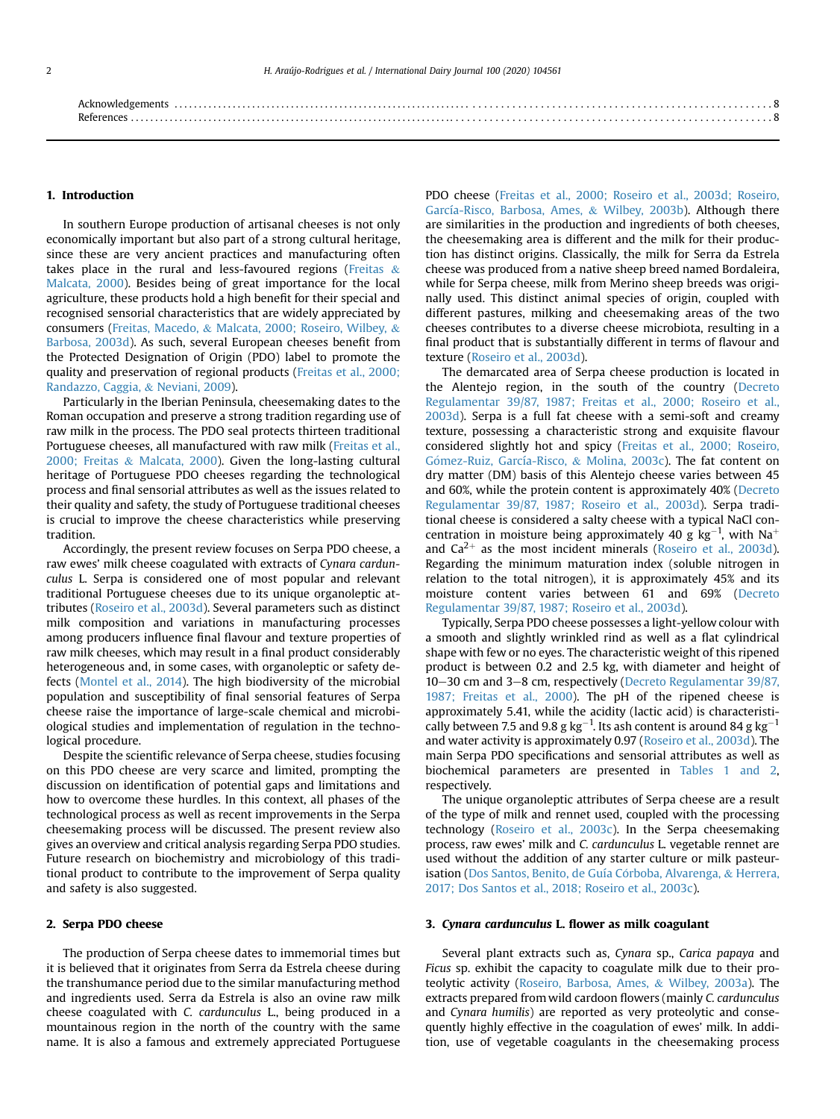| References<br>. 0 |  |
|-------------------|--|

### 1. Introduction

In southern Europe production of artisanal cheeses is not only economically important but also part of a strong cultural heritage, since these are very ancient practices and manufacturing often takes place in the rural and less-favoured regions [\(Freitas](#page-7-0)  $\&$ [Malcata, 2000\)](#page-7-0). Besides being of great importance for the local agriculture, these products hold a high benefit for their special and recognised sensorial characteristics that are widely appreciated by consumers ([Freitas, Macedo,](#page-7-0) & [Malcata, 2000; Roseiro, Wilbey,](#page-7-0) & [Barbosa, 2003d\)](#page-7-0). As such, several European cheeses benefit from the Protected Designation of Origin (PDO) label to promote the quality and preservation of regional products ([Freitas et al., 2000;](#page-7-0) [Randazzo, Caggia,](#page-7-0) & [Neviani, 2009\)](#page-7-0).

Particularly in the Iberian Peninsula, cheesemaking dates to the Roman occupation and preserve a strong tradition regarding use of raw milk in the process. The PDO seal protects thirteen traditional Portuguese cheeses, all manufactured with raw milk ([Freitas et al.,](#page-7-0) [2000; Freitas](#page-7-0) & [Malcata, 2000](#page-7-0)). Given the long-lasting cultural heritage of Portuguese PDO cheeses regarding the technological process and final sensorial attributes as well as the issues related to their quality and safety, the study of Portuguese traditional cheeses is crucial to improve the cheese characteristics while preserving tradition.

Accordingly, the present review focuses on Serpa PDO cheese, a raw ewes' milk cheese coagulated with extracts of Cynara cardunculus L. Serpa is considered one of most popular and relevant traditional Portuguese cheeses due to its unique organoleptic attributes [\(Roseiro et al., 2003d\)](#page-7-0). Several parameters such as distinct milk composition and variations in manufacturing processes among producers influence final flavour and texture properties of raw milk cheeses, which may result in a final product considerably heterogeneous and, in some cases, with organoleptic or safety defects ([Montel et al., 2014](#page-7-0)). The high biodiversity of the microbial population and susceptibility of final sensorial features of Serpa cheese raise the importance of large-scale chemical and microbiological studies and implementation of regulation in the technological procedure.

Despite the scientific relevance of Serpa cheese, studies focusing on this PDO cheese are very scarce and limited, prompting the discussion on identification of potential gaps and limitations and how to overcome these hurdles. In this context, all phases of the technological process as well as recent improvements in the Serpa cheesemaking process will be discussed. The present review also gives an overview and critical analysis regarding Serpa PDO studies. Future research on biochemistry and microbiology of this traditional product to contribute to the improvement of Serpa quality and safety is also suggested.

#### 2. Serpa PDO cheese

The production of Serpa cheese dates to immemorial times but it is believed that it originates from Serra da Estrela cheese during the transhumance period due to the similar manufacturing method and ingredients used. Serra da Estrela is also an ovine raw milk cheese coagulated with C. cardunculus L., being produced in a mountainous region in the north of the country with the same name. It is also a famous and extremely appreciated Portuguese PDO cheese [\(Freitas et al., 2000; Roseiro et al., 2003d; Roseiro,](#page-7-0) [García-Risco, Barbosa, Ames,](#page-7-0) & [Wilbey, 2003b\)](#page-7-0). Although there are similarities in the production and ingredients of both cheeses, the cheesemaking area is different and the milk for their production has distinct origins. Classically, the milk for Serra da Estrela cheese was produced from a native sheep breed named Bordaleira, while for Serpa cheese, milk from Merino sheep breeds was originally used. This distinct animal species of origin, coupled with different pastures, milking and cheesemaking areas of the two cheeses contributes to a diverse cheese microbiota, resulting in a final product that is substantially different in terms of flavour and texture [\(Roseiro et al., 2003d\)](#page-7-0).

The demarcated area of Serpa cheese production is located in the Alentejo region, in the south of the country ([Decreto](#page-7-0) [Regulamentar 39/87, 1987; Freitas et al., 2000; Roseiro et al.,](#page-7-0) [2003d\)](#page-7-0). Serpa is a full fat cheese with a semi-soft and creamy texture, possessing a characteristic strong and exquisite flavour considered slightly hot and spicy [\(Freitas et al., 2000; Roseiro,](#page-7-0) Gómez-Ruiz, García-Risco, & [Molina, 2003c](#page-7-0)). The fat content on dry matter (DM) basis of this Alentejo cheese varies between 45 and 60%, while the protein content is approximately 40% ([Decreto](#page-7-0) [Regulamentar 39/87, 1987; Roseiro et al., 2003d](#page-7-0)). Serpa traditional cheese is considered a salty cheese with a typical NaCl concentration in moisture being approximately 40 g  $kg^{-1}$ , with Na<sup>+</sup> and  $Ca^{2+}$  as the most incident minerals ([Roseiro et al., 2003d\)](#page-7-0). Regarding the minimum maturation index (soluble nitrogen in relation to the total nitrogen), it is approximately 45% and its moisture content varies between 61 and 69% ([Decreto](#page-7-0) [Regulamentar 39/87, 1987; Roseiro et al., 2003d\)](#page-7-0).

Typically, Serpa PDO cheese possesses a light-yellow colour with a smooth and slightly wrinkled rind as well as a flat cylindrical shape with few or no eyes. The characteristic weight of this ripened product is between 0.2 and 2.5 kg, with diameter and height of 10-30 cm and 3-8 cm, respectively [\(Decreto Regulamentar 39/87,](#page-7-0) [1987; Freitas et al., 2000](#page-7-0)). The pH of the ripened cheese is approximately 5.41, while the acidity (lactic acid) is characteristically between 7.5 and 9.8 g  $\text{kg}^{-1}$ . Its ash content is around 84 g  $\text{kg}^{-1}$ and water activity is approximately 0.97 ([Roseiro et al., 2003d](#page-7-0)). The main Serpa PDO specifications and sensorial attributes as well as biochemical parameters are presented in [Tables 1 and 2,](#page-2-0) respectively.

The unique organoleptic attributes of Serpa cheese are a result of the type of milk and rennet used, coupled with the processing technology [\(Roseiro et al., 2003c](#page-7-0)). In the Serpa cheesemaking process, raw ewes' milk and C. cardunculus L. vegetable rennet are used without the addition of any starter culture or milk pasteur-isation (Dos Santos, Benito, de Guía Córboba, Alvarenga, & [Herrera,](#page-7-0) [2017; Dos Santos et al., 2018; Roseiro et al., 2003c](#page-7-0)).

# 3. Cynara cardunculus L. flower as milk coagulant

Several plant extracts such as, Cynara sp., Carica papaya and Ficus sp. exhibit the capacity to coagulate milk due to their proteolytic activity [\(Roseiro, Barbosa, Ames,](#page-7-0) & [Wilbey, 2003a](#page-7-0)). The extracts prepared from wild cardoon flowers (mainly C. cardunculus and Cynara humilis) are reported as very proteolytic and consequently highly effective in the coagulation of ewes' milk. In addition, use of vegetable coagulants in the cheesemaking process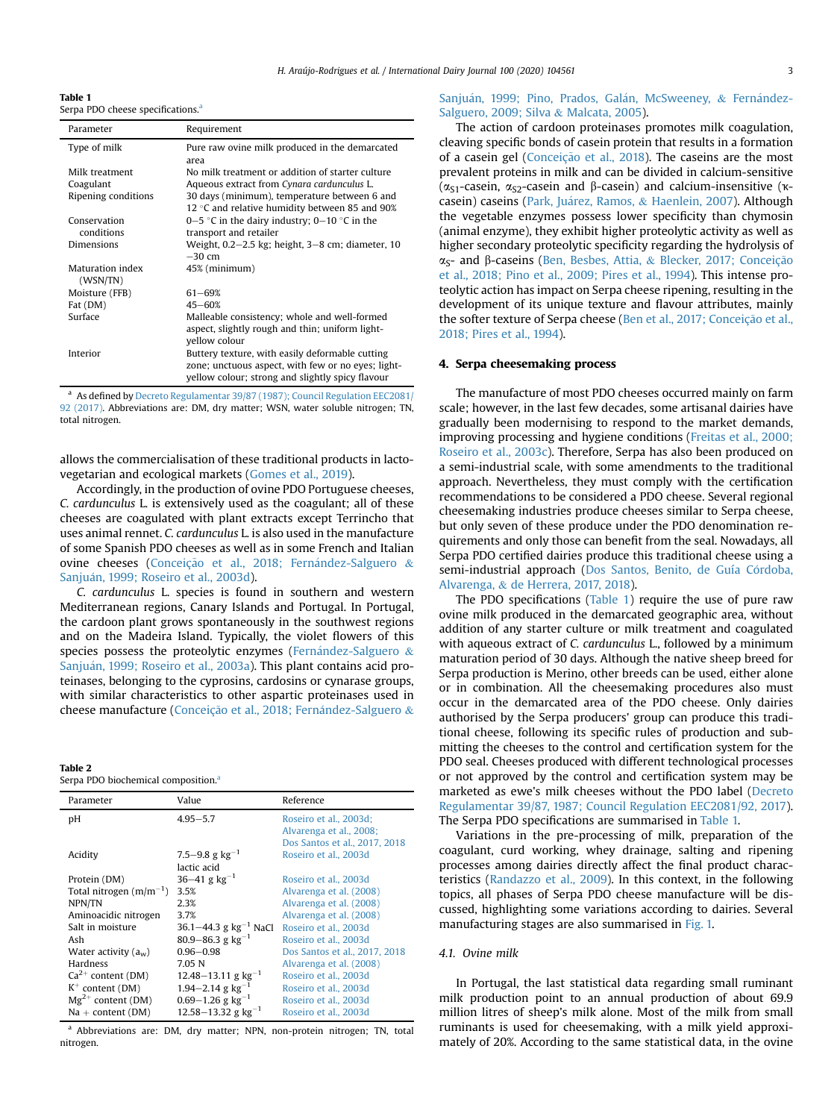<span id="page-2-0"></span>Table 1 Serpa PDO cheese specifications.<sup>a</sup>

| Parameter                    | Requirement                                                                                                                                               |  |
|------------------------------|-----------------------------------------------------------------------------------------------------------------------------------------------------------|--|
| Type of milk                 | Pure raw ovine milk produced in the demarcated<br>area                                                                                                    |  |
| Milk treatment               | No milk treatment or addition of starter culture                                                                                                          |  |
| Coagulant                    | Aqueous extract from Cynara cardunculus L.                                                                                                                |  |
| Ripening conditions          | 30 days (minimum), temperature between 6 and<br>12 °C and relative humidity between 85 and 90%                                                            |  |
| Conservation                 | 0–5 °C in the dairy industry; 0–10 °C in the                                                                                                              |  |
| conditions                   | transport and retailer                                                                                                                                    |  |
| Dimensions                   | Weight, 0.2-2.5 kg; height, 3-8 cm; diameter, 10<br>$-30$ cm                                                                                              |  |
| Maturation index<br>(WSN/TN) | 45% (minimum)                                                                                                                                             |  |
| Moisture (FFB)               | $61 - 69%$                                                                                                                                                |  |
| Fat (DM)                     | $45 - 60%$                                                                                                                                                |  |
| Surface                      | Malleable consistency; whole and well-formed<br>aspect, slightly rough and thin; uniform light-<br>vellow colour                                          |  |
| Interior                     | Buttery texture, with easily deformable cutting<br>zone; unctuous aspect, with few or no eyes; light-<br>yellow colour; strong and slightly spicy flavour |  |

<sup>a</sup> As defined by [Decreto Regulamentar 39/87 \(1987\); Council Regulation EEC2081/](#page-7-0) [92 \(2017\).](#page-7-0) Abbreviations are: DM, dry matter; WSN, water soluble nitrogen; TN, total nitrogen.

allows the commercialisation of these traditional products in lactovegetarian and ecological markets [\(Gomes et al., 2019\)](#page-7-0).

Accordingly, in the production of ovine PDO Portuguese cheeses, C. cardunculus L. is extensively used as the coagulant; all of these cheeses are coagulated with plant extracts except Terrincho that uses animal rennet. C. cardunculus L. is also used in the manufacture of some Spanish PDO cheeses as well as in some French and Italian ovine cheeses (Conceição et al., 2018; Fernández-Salguero & [Sanju](#page-7-0) a[n, 1999; Roseiro et al., 2003d](#page-7-0)).

C. cardunculus L. species is found in southern and western Mediterranean regions, Canary Islands and Portugal. In Portugal, the cardoon plant grows spontaneously in the southwest regions and on the Madeira Island. Typically, the violet flowers of this species possess the proteolytic enzymes (Fernández-Salguero  $\&$ [Sanju](#page-7-0)á[n, 1999; Roseiro et al., 2003a](#page-7-0)). This plant contains acid proteinases, belonging to the cyprosins, cardosins or cynarase groups, with similar characteristics to other aspartic proteinases used in cheese manufacture (Conceição et al., 2018; Ferná[ndez-Salguero](#page-7-0)  $\&$ 

### Table 2

Serpa PDO biochemical composition.

| Parameter                   | Value                              | Reference                     |  |
|-----------------------------|------------------------------------|-------------------------------|--|
| pH                          | $4.95 - 5.7$                       | Roseiro et al., 2003d;        |  |
|                             |                                    | Alvarenga et al., 2008;       |  |
|                             |                                    | Dos Santos et al., 2017, 2018 |  |
| Acidity                     | 7.5–9.8 g $kg^{-1}$                | Roseiro et al., 2003d         |  |
|                             | lactic acid                        |                               |  |
| Protein (DM)                | $36 - 41$ g kg <sup>-1</sup>       | Roseiro et al., 2003d         |  |
| Total nitrogen $(m/m^{-1})$ | 3.5%                               | Alvarenga et al. (2008)       |  |
| NPN/TN                      | 2.3%                               | Alvarenga et al. (2008)       |  |
| Aminoacidic nitrogen        | 37%                                | Alvarenga et al. (2008)       |  |
| Salt in moisture            | 36.1-44.3 g $kg^{-1}$ NaCl         | Roseiro et al., 2003d         |  |
| Ash                         | $80.9 - 86.3$ g kg <sup>-1</sup>   | Roseiro et al., 2003d         |  |
| Water activity $(a_w)$      | $0.96 - 0.98$                      | Dos Santos et al., 2017, 2018 |  |
| Hardness                    | 7.05 N                             | Alvarenga et al. (2008)       |  |
| $Ca^{2+}$ content (DM)      | $12.48 - 13.11$ g kg <sup>-1</sup> | Roseiro et al., 2003d         |  |
| $K^+$ content (DM)          | $1.94 - 2.14$ g kg <sup>-1</sup>   | Roseiro et al., 2003d         |  |
| $Mg^{2+}$ content (DM)      | $0.69 - 1.26$ g kg <sup>-1</sup>   | Roseiro et al., 2003d         |  |
| $Na + content (DM)$         | $12.58 - 13.32$ g kg <sup>-1</sup> | Roseiro et al., 2003d         |  |

<sup>a</sup> Abbreviations are: DM, dry matter; NPN, non-protein nitrogen; TN, total nitrogen.

# [Sanju](#page-7-0)á[n, 1999; Pino, Prados, Gal](#page-7-0)á[n, McSweeney,](#page-7-0) & [Fern](#page-7-0)á[ndez-](#page-7-0)[Salguero, 2009; Silva](#page-7-0) & [Malcata, 2005](#page-7-0)).

The action of cardoon proteinases promotes milk coagulation, cleaving specific bonds of casein protein that results in a formation of a casein gel (Conceição et al., 2018). The caseins are the most prevalent proteins in milk and can be divided in calcium-sensitive ( $\alpha_{S1}$ -casein,  $\alpha_{S2}$ -casein and β-casein) and calcium-insensitive ( $\kappa$ -casein) caseins (Park, Juárez, Ramos, & [Haenlein, 2007\)](#page-7-0). Although the vegetable enzymes possess lower specificity than chymosin (animal enzyme), they exhibit higher proteolytic activity as well as higher secondary proteolytic specificity regarding the hydrolysis of α<sub>S</sub>- and β-caseins [\(Ben, Besbes, Attia,](#page-7-0) & Blecker, 2017; Conceição [et al., 2018; Pino et al., 2009; Pires et al., 1994\)](#page-7-0). This intense proteolytic action has impact on Serpa cheese ripening, resulting in the development of its unique texture and flavour attributes, mainly the softer texture of Serpa cheese (Ben et al., 2017; Conceição et al., [2018; Pires et al., 1994](#page-7-0)).

# 4. Serpa cheesemaking process

The manufacture of most PDO cheeses occurred mainly on farm scale; however, in the last few decades, some artisanal dairies have gradually been modernising to respond to the market demands, improving processing and hygiene conditions ([Freitas et al., 2000;](#page-7-0) [Roseiro et al., 2003c](#page-7-0)). Therefore, Serpa has also been produced on a semi-industrial scale, with some amendments to the traditional approach. Nevertheless, they must comply with the certification recommendations to be considered a PDO cheese. Several regional cheesemaking industries produce cheeses similar to Serpa cheese, but only seven of these produce under the PDO denomination requirements and only those can benefit from the seal. Nowadays, all Serpa PDO certified dairies produce this traditional cheese using a semi-industrial approach [\(Dos Santos, Benito, de Guía C](#page-7-0)ó[rdoba,](#page-7-0) [Alvarenga,](#page-7-0) & [de Herrera, 2017, 2018](#page-7-0)).

The PDO specifications (Table 1) require the use of pure raw ovine milk produced in the demarcated geographic area, without addition of any starter culture or milk treatment and coagulated with aqueous extract of C. cardunculus L., followed by a minimum maturation period of 30 days. Although the native sheep breed for Serpa production is Merino, other breeds can be used, either alone or in combination. All the cheesemaking procedures also must occur in the demarcated area of the PDO cheese. Only dairies authorised by the Serpa producers' group can produce this traditional cheese, following its specific rules of production and submitting the cheeses to the control and certification system for the PDO seal. Cheeses produced with different technological processes or not approved by the control and certification system may be marketed as ewe's milk cheeses without the PDO label [\(Decreto](#page-7-0) [Regulamentar 39/87, 1987; Council Regulation EEC2081/92, 2017\)](#page-7-0). The Serpa PDO specifications are summarised in Table 1.

Variations in the pre-processing of milk, preparation of the coagulant, curd working, whey drainage, salting and ripening processes among dairies directly affect the final product characteristics [\(Randazzo et al., 2009\)](#page-7-0). In this context, in the following topics, all phases of Serpa PDO cheese manufacture will be discussed, highlighting some variations according to dairies. Several manufacturing stages are also summarised in [Fig. 1.](#page-3-0)

#### 4.1. Ovine milk

In Portugal, the last statistical data regarding small ruminant milk production point to an annual production of about 69.9 million litres of sheep's milk alone. Most of the milk from small ruminants is used for cheesemaking, with a milk yield approximately of 20%. According to the same statistical data, in the ovine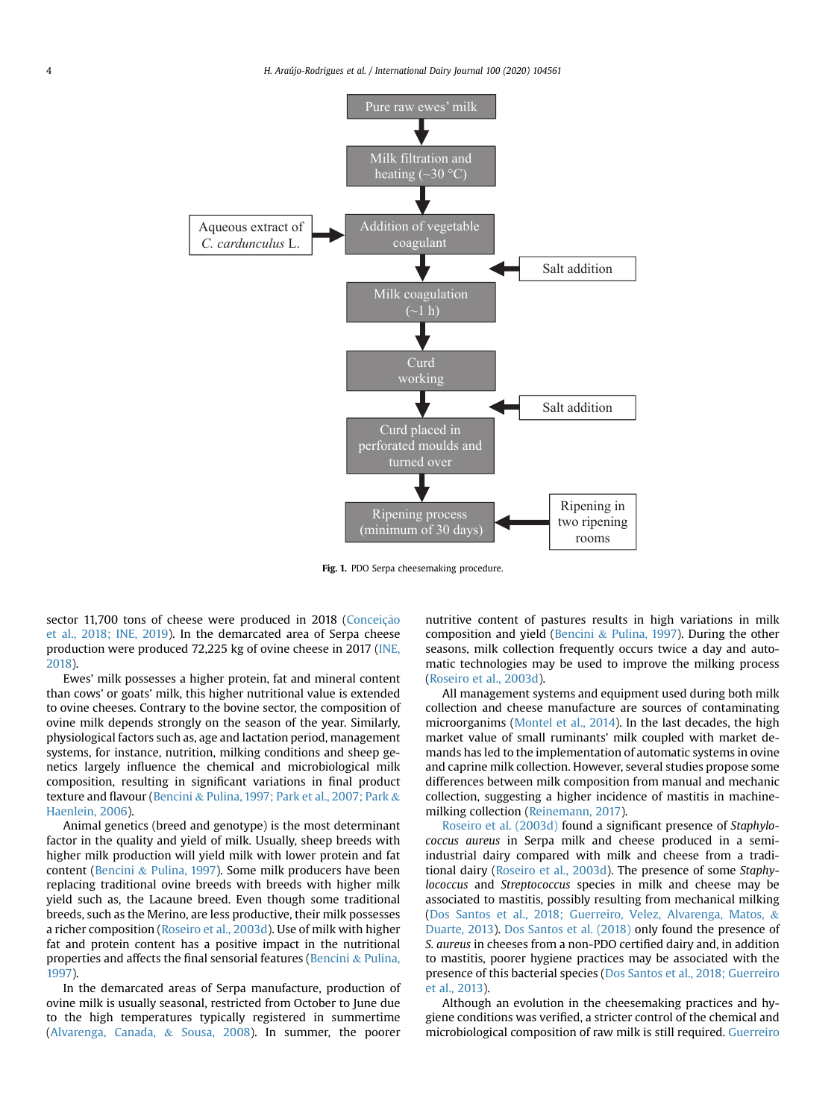<span id="page-3-0"></span>

Fig. 1. PDO Serpa cheesemaking procedure.

sector 11,700 tons of cheese were produced in 2018 (Conceição [et al., 2018; INE, 2019](#page-7-0)). In the demarcated area of Serpa cheese production were produced 72,225 kg of ovine cheese in 2017 ([INE,](#page-7-0) [2018\)](#page-7-0).

Ewes' milk possesses a higher protein, fat and mineral content than cows' or goats' milk, this higher nutritional value is extended to ovine cheeses. Contrary to the bovine sector, the composition of ovine milk depends strongly on the season of the year. Similarly, physiological factors such as, age and lactation period, management systems, for instance, nutrition, milking conditions and sheep genetics largely influence the chemical and microbiological milk composition, resulting in significant variations in final product texture and flavour ([Bencini](#page-7-0) & [Pulina, 1997; Park et al., 2007; Park](#page-7-0) & [Haenlein, 2006](#page-7-0)).

Animal genetics (breed and genotype) is the most determinant factor in the quality and yield of milk. Usually, sheep breeds with higher milk production will yield milk with lower protein and fat content [\(Bencini](#page-7-0) & [Pulina, 1997](#page-7-0)). Some milk producers have been replacing traditional ovine breeds with breeds with higher milk yield such as, the Lacaune breed. Even though some traditional breeds, such as the Merino, are less productive, their milk possesses a richer composition ([Roseiro et al., 2003d\)](#page-7-0). Use of milk with higher fat and protein content has a positive impact in the nutritional properties and affects the final sensorial features [\(Bencini](#page-7-0) & [Pulina,](#page-7-0) [1997](#page-7-0)).

In the demarcated areas of Serpa manufacture, production of ovine milk is usually seasonal, restricted from October to June due to the high temperatures typically registered in summertime ([Alvarenga, Canada,](#page-7-0) & [Sousa, 2008\)](#page-7-0). In summer, the poorer nutritive content of pastures results in high variations in milk composition and yield ([Bencini](#page-7-0)  $&$  [Pulina, 1997](#page-7-0)). During the other seasons, milk collection frequently occurs twice a day and automatic technologies may be used to improve the milking process ([Roseiro et al., 2003d](#page-7-0)).

All management systems and equipment used during both milk collection and cheese manufacture are sources of contaminating microorganims ([Montel et al., 2014](#page-7-0)). In the last decades, the high market value of small ruminants' milk coupled with market demands has led to the implementation of automatic systems in ovine and caprine milk collection. However, several studies propose some differences between milk composition from manual and mechanic collection, suggesting a higher incidence of mastitis in machinemilking collection [\(Reinemann, 2017](#page-7-0)).

[Roseiro et al. \(2003d\)](#page-7-0) found a significant presence of Staphylococcus aureus in Serpa milk and cheese produced in a semiindustrial dairy compared with milk and cheese from a traditional dairy ([Roseiro et al., 2003d](#page-7-0)). The presence of some Staphylococcus and Streptococcus species in milk and cheese may be associated to mastitis, possibly resulting from mechanical milking ([Dos Santos et al., 2018; Guerreiro, Velez, Alvarenga, Matos,](#page-7-0) & [Duarte, 2013](#page-7-0)). [Dos Santos et al. \(2018\)](#page-7-0) only found the presence of S. aureus in cheeses from a non-PDO certified dairy and, in addition to mastitis, poorer hygiene practices may be associated with the presence of this bacterial species [\(Dos Santos et al., 2018; Guerreiro](#page-7-0) [et al., 2013\)](#page-7-0).

Although an evolution in the cheesemaking practices and hygiene conditions was verified, a stricter control of the chemical and microbiological composition of raw milk is still required. [Guerreiro](#page-7-0)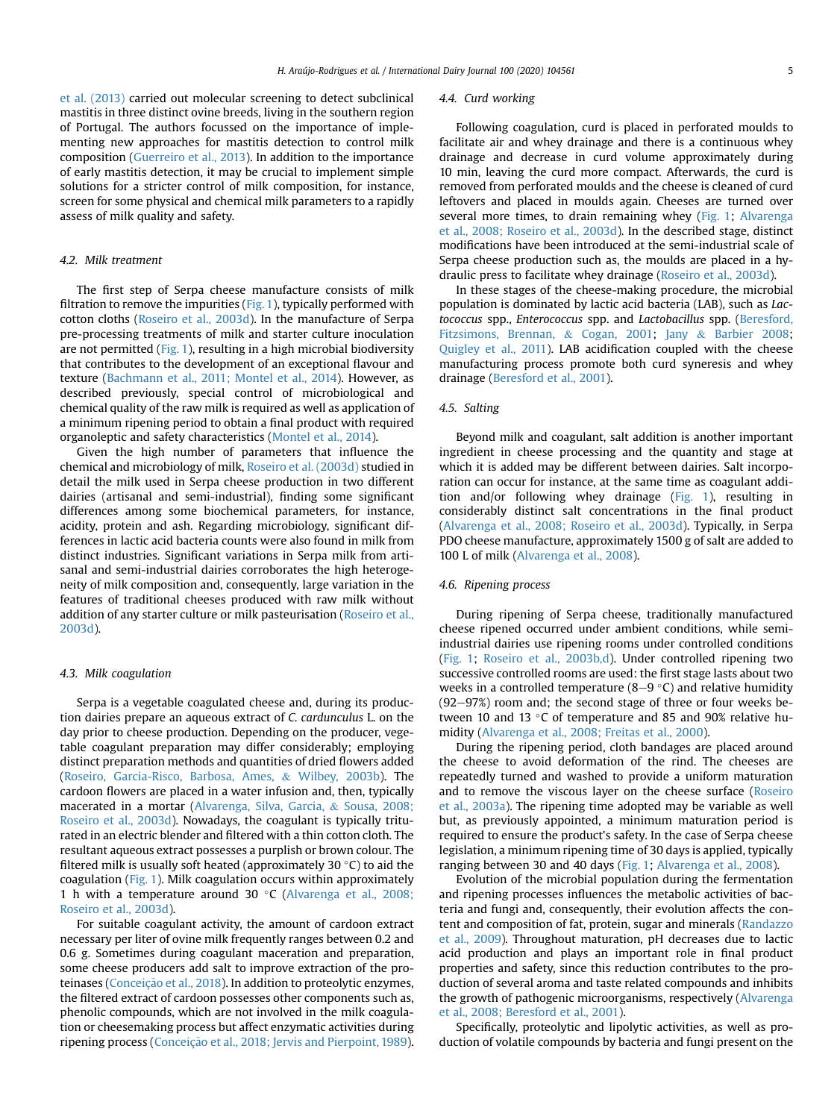[et al. \(2013\)](#page-7-0) carried out molecular screening to detect subclinical mastitis in three distinct ovine breeds, living in the southern region of Portugal. The authors focussed on the importance of implementing new approaches for mastitis detection to control milk composition ([Guerreiro et al., 2013](#page-7-0)). In addition to the importance of early mastitis detection, it may be crucial to implement simple solutions for a stricter control of milk composition, for instance, screen for some physical and chemical milk parameters to a rapidly assess of milk quality and safety.

#### 4.2. Milk treatment

The first step of Serpa cheese manufacture consists of milk filtration to remove the impurities  $(Fig. 1)$  $(Fig. 1)$ , typically performed with cotton cloths [\(Roseiro et al., 2003d](#page-7-0)). In the manufacture of Serpa pre-processing treatments of milk and starter culture inoculation are not permitted [\(Fig. 1](#page-3-0)), resulting in a high microbial biodiversity that contributes to the development of an exceptional flavour and texture ([Bachmann et al., 2011; Montel et al., 2014](#page-7-0)). However, as described previously, special control of microbiological and chemical quality of the raw milk is required as well as application of a minimum ripening period to obtain a final product with required organoleptic and safety characteristics [\(Montel et al., 2014\)](#page-7-0).

Given the high number of parameters that influence the chemical and microbiology of milk, [Roseiro et al. \(2003d\)](#page-7-0) studied in detail the milk used in Serpa cheese production in two different dairies (artisanal and semi-industrial), finding some significant differences among some biochemical parameters, for instance, acidity, protein and ash. Regarding microbiology, significant differences in lactic acid bacteria counts were also found in milk from distinct industries. Significant variations in Serpa milk from artisanal and semi-industrial dairies corroborates the high heterogeneity of milk composition and, consequently, large variation in the features of traditional cheeses produced with raw milk without addition of any starter culture or milk pasteurisation ([Roseiro et al.,](#page-7-0) [2003d\)](#page-7-0).

#### 4.3. Milk coagulation

Serpa is a vegetable coagulated cheese and, during its production dairies prepare an aqueous extract of C. cardunculus L. on the day prior to cheese production. Depending on the producer, vegetable coagulant preparation may differ considerably; employing distinct preparation methods and quantities of dried flowers added ([Roseiro, Garcia-Risco, Barbosa, Ames,](#page-7-0) & [Wilbey, 2003b](#page-7-0)). The cardoon flowers are placed in a water infusion and, then, typically macerated in a mortar [\(Alvarenga, Silva, Garcia,](#page-7-0) & [Sousa, 2008;](#page-7-0) [Roseiro et al., 2003d\)](#page-7-0). Nowadays, the coagulant is typically triturated in an electric blender and filtered with a thin cotton cloth. The resultant aqueous extract possesses a purplish or brown colour. The filtered milk is usually soft heated (approximately 30 $\degree$ C) to aid the coagulation ([Fig. 1](#page-3-0)). Milk coagulation occurs within approximately 1 h with a temperature around 30  $\degree$ C [\(Alvarenga et al., 2008;](#page-7-0) [Roseiro et al., 2003d\)](#page-7-0).

For suitable coagulant activity, the amount of cardoon extract necessary per liter of ovine milk frequently ranges between 0.2 and 0.6 g. Sometimes during coagulant maceration and preparation, some cheese producers add salt to improve extraction of the pro-teinases ([Conceiç](#page-7-0)ão et al., 2018). In addition to proteolytic enzymes, the filtered extract of cardoon possesses other components such as, phenolic compounds, which are not involved in the milk coagulation or cheesemaking process but affect enzymatic activities during ripening process (Conceição et al., 2018; Jervis and Pierpoint, 1989).

#### 4.4. Curd working

Following coagulation, curd is placed in perforated moulds to facilitate air and whey drainage and there is a continuous whey drainage and decrease in curd volume approximately during 10 min, leaving the curd more compact. Afterwards, the curd is removed from perforated moulds and the cheese is cleaned of curd leftovers and placed in moulds again. Cheeses are turned over several more times, to drain remaining whey [\(Fig. 1](#page-3-0); [Alvarenga](#page-7-0) [et al., 2008; Roseiro et al., 2003d\)](#page-7-0). In the described stage, distinct modifications have been introduced at the semi-industrial scale of Serpa cheese production such as, the moulds are placed in a hydraulic press to facilitate whey drainage ([Roseiro et al., 2003d](#page-7-0)).

In these stages of the cheese-making procedure, the microbial population is dominated by lactic acid bacteria (LAB), such as Lactococcus spp., Enterococcus spp. and Lactobacillus spp. ([Beresford,](#page-7-0) [Fitzsimons, Brennan,](#page-7-0) & [Cogan, 2001](#page-7-0); [Jany](#page-7-0) & [Barbier 2008;](#page-7-0) [Quigley et al., 2011\)](#page-7-0). LAB acidification coupled with the cheese manufacturing process promote both curd syneresis and whey drainage ([Beresford et al., 2001\)](#page-7-0).

#### 4.5. Salting

Beyond milk and coagulant, salt addition is another important ingredient in cheese processing and the quantity and stage at which it is added may be different between dairies. Salt incorporation can occur for instance, at the same time as coagulant addition and/or following whey drainage ([Fig. 1\)](#page-3-0), resulting in considerably distinct salt concentrations in the final product ([Alvarenga et al., 2008; Roseiro et al., 2003d](#page-7-0)). Typically, in Serpa PDO cheese manufacture, approximately 1500 g of salt are added to 100 L of milk ([Alvarenga et al., 2008\)](#page-7-0).

#### 4.6. Ripening process

During ripening of Serpa cheese, traditionally manufactured cheese ripened occurred under ambient conditions, while semiindustrial dairies use ripening rooms under controlled conditions ([Fig. 1;](#page-3-0) [Roseiro et al., 2003b,d](#page-7-0)). Under controlled ripening two successive controlled rooms are used: the first stage lasts about two weeks in a controlled temperature (8–9  $\degree$ C) and relative humidity  $(92-97%)$  room and; the second stage of three or four weeks between 10 and 13  $\degree$ C of temperature and 85 and 90% relative humidity ([Alvarenga et al., 2008; Freitas et al., 2000\)](#page-7-0).

During the ripening period, cloth bandages are placed around the cheese to avoid deformation of the rind. The cheeses are repeatedly turned and washed to provide a uniform maturation and to remove the viscous layer on the cheese surface ([Roseiro](#page-7-0) [et al., 2003a\)](#page-7-0). The ripening time adopted may be variable as well but, as previously appointed, a minimum maturation period is required to ensure the product's safety. In the case of Serpa cheese legislation, a minimum ripening time of 30 days is applied, typically ranging between 30 and 40 days [\(Fig. 1;](#page-3-0) [Alvarenga et al., 2008](#page-7-0)).

Evolution of the microbial population during the fermentation and ripening processes influences the metabolic activities of bacteria and fungi and, consequently, their evolution affects the content and composition of fat, protein, sugar and minerals [\(Randazzo](#page-7-0) [et al., 2009](#page-7-0)). Throughout maturation, pH decreases due to lactic acid production and plays an important role in final product properties and safety, since this reduction contributes to the production of several aroma and taste related compounds and inhibits the growth of pathogenic microorganisms, respectively ([Alvarenga](#page-7-0) [et al., 2008; Beresford et al., 2001\)](#page-7-0).

Specifically, proteolytic and lipolytic activities, as well as production of volatile compounds by bacteria and fungi present on the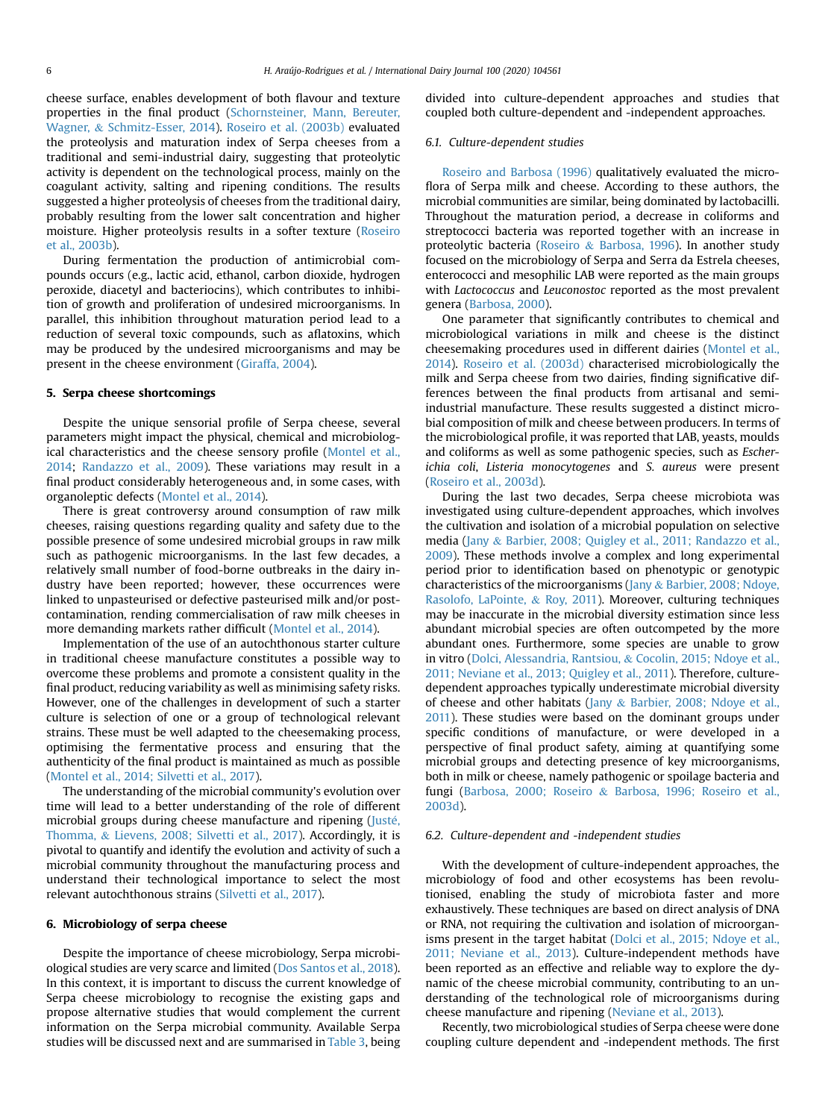cheese surface, enables development of both flavour and texture properties in the final product ([Schornsteiner, Mann, Bereuter,](#page-7-0) [Wagner,](#page-7-0) & [Schmitz-Esser, 2014\)](#page-7-0). [Roseiro et al. \(2003b\)](#page-7-0) evaluated the proteolysis and maturation index of Serpa cheeses from a traditional and semi-industrial dairy, suggesting that proteolytic activity is dependent on the technological process, mainly on the coagulant activity, salting and ripening conditions. The results suggested a higher proteolysis of cheeses from the traditional dairy, probably resulting from the lower salt concentration and higher moisture. Higher proteolysis results in a softer texture [\(Roseiro](#page-7-0) [et al., 2003b\)](#page-7-0).

During fermentation the production of antimicrobial compounds occurs (e.g., lactic acid, ethanol, carbon dioxide, hydrogen peroxide, diacetyl and bacteriocins), which contributes to inhibition of growth and proliferation of undesired microorganisms. In parallel, this inhibition throughout maturation period lead to a reduction of several toxic compounds, such as aflatoxins, which may be produced by the undesired microorganisms and may be present in the cheese environment ([Giraffa, 2004\)](#page-7-0).

#### 5. Serpa cheese shortcomings

Despite the unique sensorial profile of Serpa cheese, several parameters might impact the physical, chemical and microbiological characteristics and the cheese sensory profile [\(Montel et al.,](#page-7-0) [2014](#page-7-0); [Randazzo et al., 2009](#page-7-0)). These variations may result in a final product considerably heterogeneous and, in some cases, with organoleptic defects ([Montel et al., 2014](#page-7-0)).

There is great controversy around consumption of raw milk cheeses, raising questions regarding quality and safety due to the possible presence of some undesired microbial groups in raw milk such as pathogenic microorganisms. In the last few decades, a relatively small number of food-borne outbreaks in the dairy industry have been reported; however, these occurrences were linked to unpasteurised or defective pasteurised milk and/or postcontamination, rending commercialisation of raw milk cheeses in more demanding markets rather difficult ([Montel et al., 2014](#page-7-0)).

Implementation of the use of an autochthonous starter culture in traditional cheese manufacture constitutes a possible way to overcome these problems and promote a consistent quality in the final product, reducing variability as well as minimising safety risks. However, one of the challenges in development of such a starter culture is selection of one or a group of technological relevant strains. These must be well adapted to the cheesemaking process, optimising the fermentative process and ensuring that the authenticity of the final product is maintained as much as possible ([Montel et al., 2014; Silvetti et al., 2017\)](#page-7-0).

The understanding of the microbial community's evolution over time will lead to a better understanding of the role of different microbial groups during cheese manufacture and ripening (Justé, [Thomma,](#page-7-0) & [Lievens, 2008; Silvetti et al., 2017\)](#page-7-0). Accordingly, it is pivotal to quantify and identify the evolution and activity of such a microbial community throughout the manufacturing process and understand their technological importance to select the most relevant autochthonous strains ([Silvetti et al., 2017](#page-7-0)).

# 6. Microbiology of serpa cheese

Despite the importance of cheese microbiology, Serpa microbiological studies are very scarce and limited [\(Dos Santos et al., 2018\)](#page-7-0). In this context, it is important to discuss the current knowledge of Serpa cheese microbiology to recognise the existing gaps and propose alternative studies that would complement the current information on the Serpa microbial community. Available Serpa studies will be discussed next and are summarised in [Table 3](#page-6-0), being divided into culture-dependent approaches and studies that coupled both culture-dependent and -independent approaches.

#### 6.1. Culture-dependent studies

[Roseiro and Barbosa \(1996\)](#page-7-0) qualitatively evaluated the microflora of Serpa milk and cheese. According to these authors, the microbial communities are similar, being dominated by lactobacilli. Throughout the maturation period, a decrease in coliforms and streptococci bacteria was reported together with an increase in proteolytic bacteria [\(Roseiro](#page-7-0) & [Barbosa, 1996\)](#page-7-0). In another study focused on the microbiology of Serpa and Serra da Estrela cheeses, enterococci and mesophilic LAB were reported as the main groups with Lactococcus and Leuconostoc reported as the most prevalent genera ([Barbosa, 2000](#page-7-0)).

One parameter that significantly contributes to chemical and microbiological variations in milk and cheese is the distinct cheesemaking procedures used in different dairies ([Montel et al.,](#page-7-0) [2014\)](#page-7-0). [Roseiro et al. \(2003d\)](#page-7-0) characterised microbiologically the milk and Serpa cheese from two dairies, finding significative differences between the final products from artisanal and semiindustrial manufacture. These results suggested a distinct microbial composition of milk and cheese between producers. In terms of the microbiological profile, it was reported that LAB, yeasts, moulds and coliforms as well as some pathogenic species, such as Escherichia coli, Listeria monocytogenes and S. aureus were present ([Roseiro et al., 2003d](#page-7-0)).

During the last two decades, Serpa cheese microbiota was investigated using culture-dependent approaches, which involves the cultivation and isolation of a microbial population on selective media [\(Jany](#page-7-0) & [Barbier, 2008; Quigley et al., 2011; Randazzo et al.,](#page-7-0) [2009](#page-7-0)). These methods involve a complex and long experimental period prior to identification based on phenotypic or genotypic characteristics of the microorganisms ([Jany](#page-7-0) & [Barbier, 2008; Ndoye,](#page-7-0) [Rasolofo, LaPointe,](#page-7-0) & [Roy, 2011\)](#page-7-0). Moreover, culturing techniques may be inaccurate in the microbial diversity estimation since less abundant microbial species are often outcompeted by the more abundant ones. Furthermore, some species are unable to grow in vitro [\(Dolci, Alessandria, Rantsiou,](#page-7-0) & [Cocolin, 2015; Ndoye et al.,](#page-7-0) [2011; Neviane et al., 2013; Quigley et al., 2011\)](#page-7-0). Therefore, culturedependent approaches typically underestimate microbial diversity of cheese and other habitats [\(Jany](#page-7-0) & [Barbier, 2008; Ndoye et al.,](#page-7-0) [2011\)](#page-7-0). These studies were based on the dominant groups under specific conditions of manufacture, or were developed in a perspective of final product safety, aiming at quantifying some microbial groups and detecting presence of key microorganisms, both in milk or cheese, namely pathogenic or spoilage bacteria and fungi [\(Barbosa, 2000; Roseiro](#page-7-0) & [Barbosa, 1996; Roseiro et al.,](#page-7-0) [2003d\)](#page-7-0).

# 6.2. Culture-dependent and -independent studies

With the development of culture-independent approaches, the microbiology of food and other ecosystems has been revolutionised, enabling the study of microbiota faster and more exhaustively. These techniques are based on direct analysis of DNA or RNA, not requiring the cultivation and isolation of microorganisms present in the target habitat [\(Dolci et al., 2015; Ndoye et al.,](#page-7-0) [2011; Neviane et al., 2013\)](#page-7-0). Culture-independent methods have been reported as an effective and reliable way to explore the dynamic of the cheese microbial community, contributing to an understanding of the technological role of microorganisms during cheese manufacture and ripening [\(Neviane et al., 2013](#page-7-0)).

Recently, two microbiological studies of Serpa cheese were done coupling culture dependent and -independent methods. The first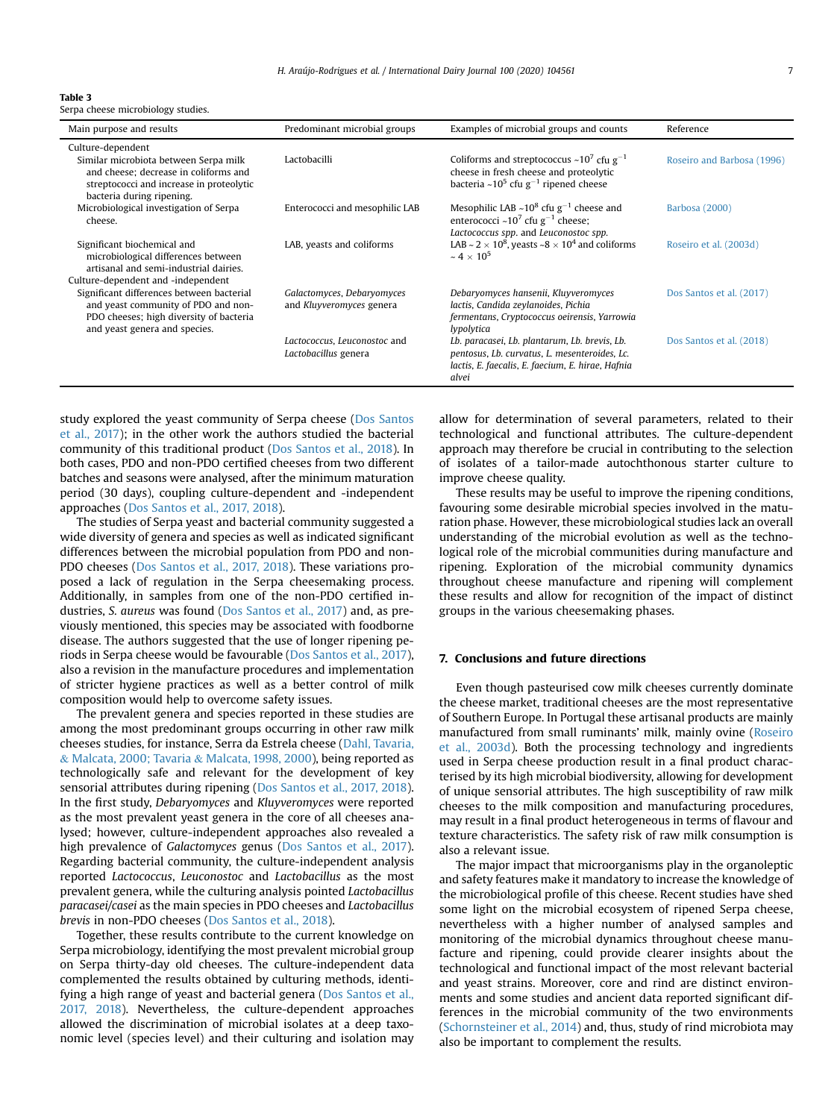<span id="page-6-0"></span>Table 3 Serpa cheese microbiology studies.

| Main purpose and results                                                                                                                                                     | Predominant microbial groups                           | Examples of microbial groups and counts                                                                                                                            | Reference                  |
|------------------------------------------------------------------------------------------------------------------------------------------------------------------------------|--------------------------------------------------------|--------------------------------------------------------------------------------------------------------------------------------------------------------------------|----------------------------|
| Culture-dependent<br>Similar microbiota between Serpa milk<br>and cheese; decrease in coliforms and<br>streptococci and increase in proteolytic<br>bacteria during ripening. | Lactobacilli                                           | Coliforms and streptococcus ~10 <sup>7</sup> cfu $g^{-1}$<br>cheese in fresh cheese and proteolytic<br>bacteria ~10 <sup>5</sup> cfu $g^{-1}$ ripened cheese       | Roseiro and Barbosa (1996) |
| Microbiological investigation of Serpa<br>cheese.                                                                                                                            | Enterococci and mesophilic LAB                         | Mesophilic LAB $\sim$ 10 <sup>8</sup> cfu g <sup>-1</sup> cheese and<br>enterococci ~10 <sup>7</sup> cfu $g^{-1}$ cheese;<br>Lactococcus spp. and Leuconostoc spp. | Barbosa (2000)             |
| Significant biochemical and<br>microbiological differences between<br>artisanal and semi-industrial dairies.<br>Culture-dependent and -independent                           | LAB, yeasts and coliforms                              | LAB ~ $2 \times 10^8$ , yeasts ~8 $\times 10^4$ and coliforms<br>$\sim 4 \times 10^5$                                                                              | Roseiro et al. (2003d)     |
| Significant differences between bacterial<br>and yeast community of PDO and non-<br>PDO cheeses; high diversity of bacteria<br>and yeast genera and species.                 | Galactomyces, Debaryomyces<br>and Kluyveromyces genera | Debaryomyces hansenii, Kluyveromyces<br>lactis, Candida zeylanoides, Pichia<br>fermentans, Cryptococcus oeirensis, Yarrowia<br>lypolytica                          | Dos Santos et al. (2017)   |
|                                                                                                                                                                              | Lactococcus, Leuconostoc and<br>Lactobacillus genera   | Lb. paracasei, Lb. plantarum, Lb. brevis, Lb.<br>pentosus, Lb. curvatus, L. mesenteroides, Lc.<br>lactis, E. faecalis, E. faecium, E. hirae, Hafnia<br>alvei       | Dos Santos et al. (2018)   |

study explored the yeast community of Serpa cheese ([Dos Santos](#page-7-0) [et al., 2017\)](#page-7-0); in the other work the authors studied the bacterial community of this traditional product ([Dos Santos et al., 2018](#page-7-0)). In both cases, PDO and non-PDO certified cheeses from two different batches and seasons were analysed, after the minimum maturation period (30 days), coupling culture-dependent and -independent approaches [\(Dos Santos et al., 2017, 2018](#page-7-0)).

The studies of Serpa yeast and bacterial community suggested a wide diversity of genera and species as well as indicated significant differences between the microbial population from PDO and non-PDO cheeses ([Dos Santos et al., 2017, 2018\)](#page-7-0). These variations proposed a lack of regulation in the Serpa cheesemaking process. Additionally, in samples from one of the non-PDO certified industries, S. aureus was found ([Dos Santos et al., 2017\)](#page-7-0) and, as previously mentioned, this species may be associated with foodborne disease. The authors suggested that the use of longer ripening periods in Serpa cheese would be favourable ([Dos Santos et al., 2017\)](#page-7-0), also a revision in the manufacture procedures and implementation of stricter hygiene practices as well as a better control of milk composition would help to overcome safety issues.

The prevalent genera and species reported in these studies are among the most predominant groups occurring in other raw milk cheeses studies, for instance, Serra da Estrela cheese [\(Dahl, Tavaria,](#page-7-0) & [Malcata, 2000; Tavaria](#page-7-0) & [Malcata, 1998, 2000](#page-7-0)), being reported as technologically safe and relevant for the development of key sensorial attributes during ripening [\(Dos Santos et al., 2017, 2018\)](#page-7-0). In the first study, Debaryomyces and Kluyveromyces were reported as the most prevalent yeast genera in the core of all cheeses analysed; however, culture-independent approaches also revealed a high prevalence of Galactomyces genus [\(Dos Santos et al., 2017\)](#page-7-0). Regarding bacterial community, the culture-independent analysis reported Lactococcus, Leuconostoc and Lactobacillus as the most prevalent genera, while the culturing analysis pointed Lactobacillus paracasei/casei as the main species in PDO cheeses and Lactobacillus brevis in non-PDO cheeses ([Dos Santos et al., 2018\)](#page-7-0).

Together, these results contribute to the current knowledge on Serpa microbiology, identifying the most prevalent microbial group on Serpa thirty-day old cheeses. The culture-independent data complemented the results obtained by culturing methods, identifying a high range of yeast and bacterial genera [\(Dos Santos et al.,](#page-7-0) [2017, 2018](#page-7-0)). Nevertheless, the culture-dependent approaches allowed the discrimination of microbial isolates at a deep taxonomic level (species level) and their culturing and isolation may allow for determination of several parameters, related to their technological and functional attributes. The culture-dependent approach may therefore be crucial in contributing to the selection of isolates of a tailor-made autochthonous starter culture to improve cheese quality.

These results may be useful to improve the ripening conditions, favouring some desirable microbial species involved in the maturation phase. However, these microbiological studies lack an overall understanding of the microbial evolution as well as the technological role of the microbial communities during manufacture and ripening. Exploration of the microbial community dynamics throughout cheese manufacture and ripening will complement these results and allow for recognition of the impact of distinct groups in the various cheesemaking phases.

# 7. Conclusions and future directions

Even though pasteurised cow milk cheeses currently dominate the cheese market, traditional cheeses are the most representative of Southern Europe. In Portugal these artisanal products are mainly manufactured from small ruminants' milk, mainly ovine ([Roseiro](#page-7-0) [et al., 2003d](#page-7-0)). Both the processing technology and ingredients used in Serpa cheese production result in a final product characterised by its high microbial biodiversity, allowing for development of unique sensorial attributes. The high susceptibility of raw milk cheeses to the milk composition and manufacturing procedures, may result in a final product heterogeneous in terms of flavour and texture characteristics. The safety risk of raw milk consumption is also a relevant issue.

The major impact that microorganisms play in the organoleptic and safety features make it mandatory to increase the knowledge of the microbiological profile of this cheese. Recent studies have shed some light on the microbial ecosystem of ripened Serpa cheese, nevertheless with a higher number of analysed samples and monitoring of the microbial dynamics throughout cheese manufacture and ripening, could provide clearer insights about the technological and functional impact of the most relevant bacterial and yeast strains. Moreover, core and rind are distinct environments and some studies and ancient data reported significant differences in the microbial community of the two environments ([Schornsteiner et al., 2014](#page-7-0)) and, thus, study of rind microbiota may also be important to complement the results.